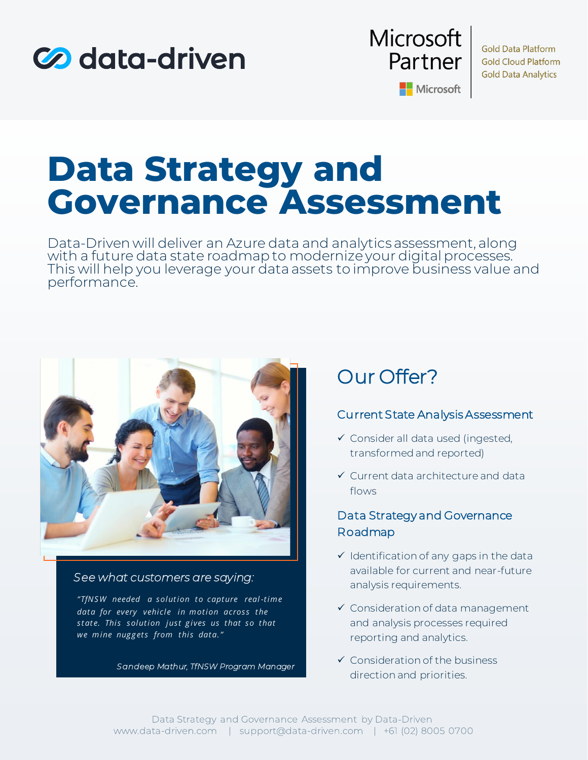



**Gold Data Platform Gold Cloud Platform Gold Data Analytics** 

Microsoft

# **Data Strategy and Governance Assessment**

Data-Driven will deliver an Azure data and analytics assessment, along with a future data state roadmap to modernize your digital processes. This will help you leverage your data assets to improve business value and performance.



### *See what customers are saying:*

*"TfNS W needed a solution to capture real -time*  data for every vehicle in motion across the state. This solution just gives us that so that we mine nuggets from this data."

*Sandeep Mathur, TfNSW Program Manager*

# Our Offer?

#### Current State Analysis Assessment

- ✓ Consider all data used (ingested, transformed and reported)
- ✓ Current data architecture and data flows

### Data Strategy and Governance Roadmap

- $\checkmark$  Identification of any gaps in the data available for current and near-future analysis requirements.
- ✓ Consideration of data management and analysis processes required reporting and analytics.
- ✓ Consideration of the business direction and priorities.